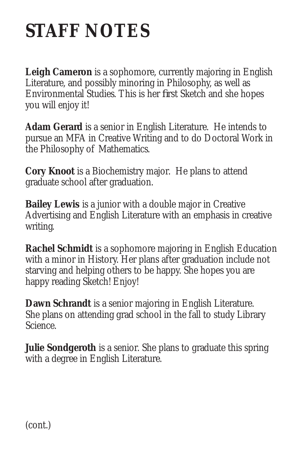## **STAFF NOTES**

**Leigh Cameron** is a sophomore, currently majoring in English Literature, and possibly minoring in Philosophy, as well as Environmental Studies. This is her first Sketch and she hopes you will enjoy it!

**Adam Gerard** is a senior in English Literature. He intends to pursue an MFA in Creative Writing and to do Doctoral Work in the Philosophy of Mathematics.

**Cory Knoot** is a Biochemistry major. He plans to attend graduate school after graduation.

**Bailey Lewis** is a junior with a double major in Creative Advertising and English Literature with an emphasis in creative writing.

**Rachel Schmidt** is a sophomore majoring in English Education with a minor in History. Her plans after graduation include not starving and helping others to be happy. She hopes you are happy reading Sketch! Enjoy!

**Dawn Schrandt** is a senior majoring in English Literature. She plans on attending grad school in the fall to study Library Science.

**Julie Sondgeroth** is a senior. She plans to graduate this spring with a degree in English Literature.

(cont.)